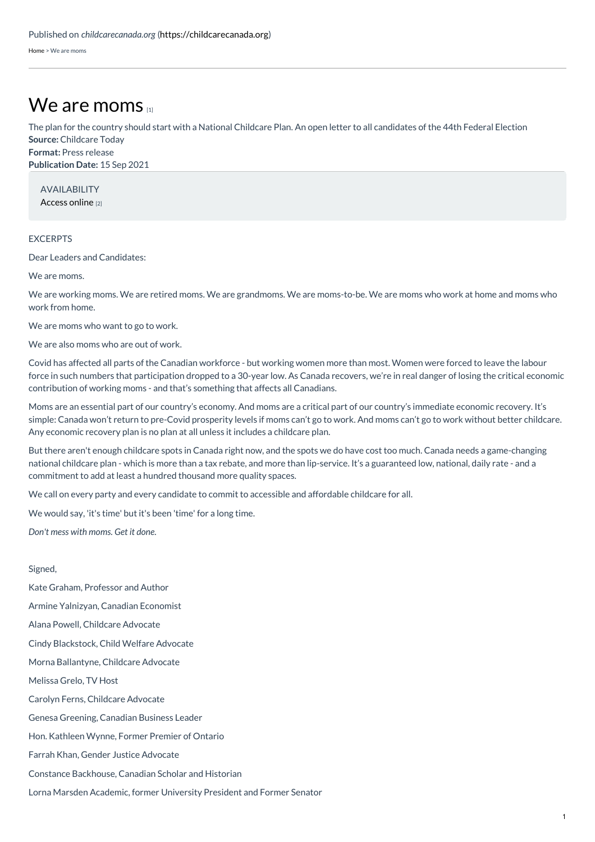[Home](https://childcarecanada.org/) > We are moms

## We are [moms](https://childcarecanada.org/documents/child-care-news/21/09/we-are-moms)

**Source:** Childcare Today **Format:** Press release The plan for the country should start with a National Childcare Plan. An open letter to all candidates of the 44th Federal Election

**Publication Date:** 15 Sep 2021

AVAILABILITY [Access](https://childcaretoday.nationbuilder.com/) online [2]

## EXCERPTS

Dear Leaders and Candidates:

We are moms.

We are working moms. We are retired moms. We are grandmoms. We are moms-to-be. We are moms who work at home and moms who work from home.

We are moms who want to go to work.

We are also moms who are out of work.

Covid has affected all parts of the Canadian workforce - but working women more than most. Women were forced to leave the labour force in such numbers that participation dropped to a 30-year low. As Canada recovers, we're in real danger of losing the critical economic contribution of working moms - and that's something that affects all Canadians.

Moms are an essential part of our country's economy. And moms are a critical part of our country's immediate economic recovery. It's simple: Canada won't return to pre-Covid prosperity levels if moms can't go to work. And moms can't go to work without better childcare. Any economic recovery plan is no plan at all unless it includes a childcare plan.

But there aren't enough childcare spots in Canada right now, and the spots we do have cost too much. Canada needs a game-changing national childcare plan - which is more than a tax rebate, and more than lip-service. It's a guaranteed low, national, daily rate - and a commitment to add at least a hundred thousand more quality spaces.

We call on every party and every candidate to commit to accessible and affordable childcare for all.

We would say, 'it's time' but it's been 'time' for a long time.

*Don't mess with moms. Get it done.*

## Signed,

Kate Graham, Professor and Author

Armine Yalnizyan, Canadian Economist

Alana Powell, Childcare Advocate

Cindy Blackstock, Child Welfare Advocate

Morna Ballantyne, Childcare Advocate

Melissa Grelo, TV Host

Carolyn Ferns, Childcare Advocate

Genesa Greening, Canadian Business Leader

Hon. Kathleen Wynne, Former Premier of Ontario

Farrah Khan, Gender Justice Advocate

Constance Backhouse, Canadian Scholar and Historian

Lorna Marsden Academic, former University President and Former Senator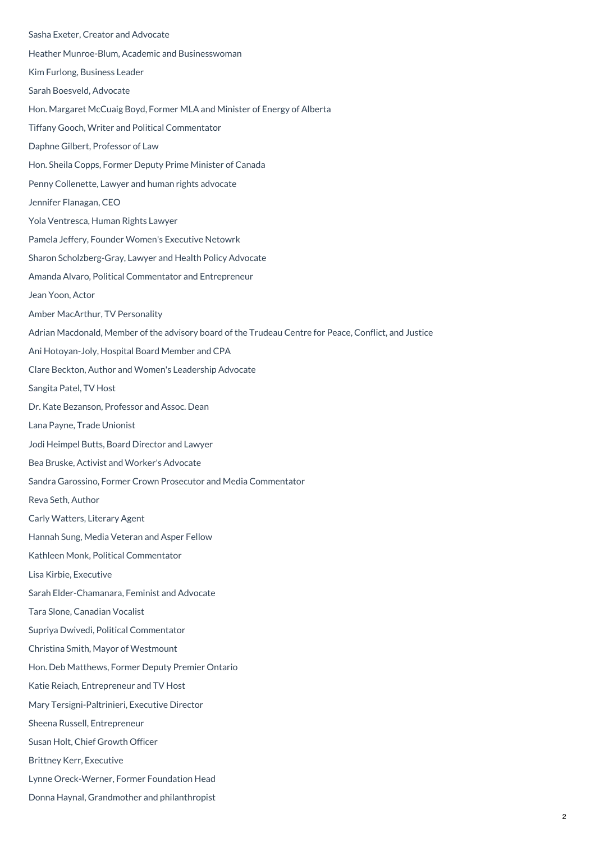Sasha Exeter, Creator and Advocate Heather Munroe-Blum, Academic and Businesswoman Kim Furlong, Business Leader Sarah Boesveld, Advocate Hon. Margaret McCuaig Boyd, Former MLA and Minister of Energy of Alberta Tiffany Gooch, Writer and Political Commentator Daphne Gilbert, Professor of Law Hon. Sheila Copps, Former Deputy Prime Minister of Canada Penny Collenette, Lawyer and human rights advocate Jennifer Flanagan, CEO Yola Ventresca, Human Rights Lawyer Pamela Jeffery, Founder Women's Executive Netowrk Sharon Scholzberg-Gray, Lawyer and Health Policy Advocate Amanda Alvaro, Political Commentator and Entrepreneur Jean Yoon, Actor Amber MacArthur, TV Personality Adrian Macdonald, Member of the advisory board of the Trudeau Centre for Peace, Conflict, and Justice Ani Hotoyan-Joly, Hospital Board Member and CPA Clare Beckton, Author and Women's Leadership Advocate Sangita Patel, TV Host Dr. Kate Bezanson, Professor and Assoc. Dean Lana Payne, Trade Unionist Jodi Heimpel Butts, Board Director and Lawyer Bea Bruske, Activist and Worker's Advocate Sandra Garossino, Former Crown Prosecutor and Media Commentator Reva Seth, Author Carly Watters, Literary Agent Hannah Sung, Media Veteran and Asper Fellow Kathleen Monk, Political Commentator Lisa Kirbie, Executive Sarah Elder-Chamanara, Feminist and Advocate Tara Slone, Canadian Vocalist Supriya Dwivedi, Political Commentator Christina Smith, Mayor of Westmount Hon. Deb Matthews, Former Deputy Premier Ontario Katie Reiach, Entrepreneur and TV Host Mary Tersigni-Paltrinieri, Executive Director Sheena Russell, Entrepreneur Susan Holt, Chief Growth Officer Brittney Kerr, Executive Lynne Oreck-Werner, Former Foundation Head Donna Haynal, Grandmother and philanthropist